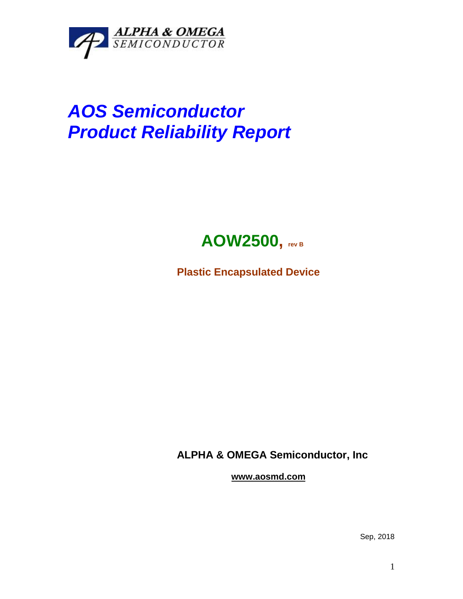

## *AOS Semiconductor Product Reliability Report*



**Plastic Encapsulated Device**

**ALPHA & OMEGA Semiconductor, Inc**

**www.aosmd.com**

Sep, 2018